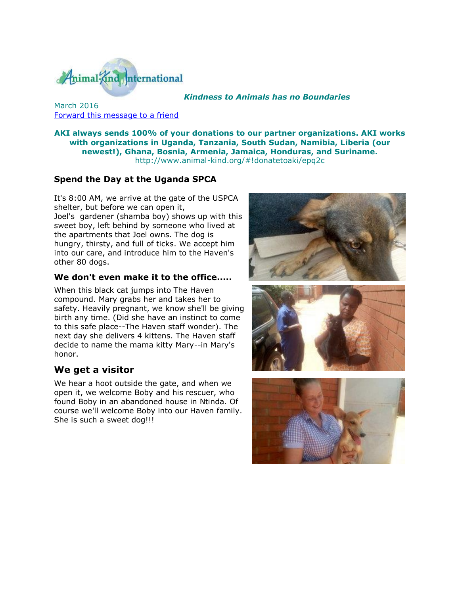

#### *Kindness to Animals has no Boundaries*

March 2016 [Forward this message to a friend](http://oi.vresp.com/f2af/v4/send_to_friend.html?ch=eb518c20c7)

**AKI always sends 100% of your donations to our partner organizations. AKI works with organizations in Uganda, Tanzania, South Sudan, Namibia, Liberia (our newest!), Ghana, Bosnia, Armenia, Jamaica, Honduras, and Suriname.** [http://www.animal-kind.org/#!donatetoaki/epq2c](http://cts.vresp.com/c/?AnimalKindInternatio/eb518c20c7/026f19ab65/d28436b884)

### **Spend the Day at the Uganda SPCA**

It's 8:00 AM, we arrive at the gate of the USPCA shelter, but before we can open it, Joel's gardener (shamba boy) shows up with this sweet boy, left behind by someone who lived at the apartments that Joel owns. The dog is hungry, thirsty, and full of ticks. We accept him into our care, and introduce him to the Haven's other 80 dogs.

#### **We don't even make it to the office.....**

When this black cat jumps into The Haven compound. Mary grabs her and takes her to safety. Heavily pregnant, we know she'll be giving birth any time. (Did she have an instinct to come to this safe place--The Haven staff wonder). The next day she delivers 4 kittens. The Haven staff decide to name the mama kitty Mary--in Mary's honor.

#### **We get a visitor**

We hear a hoot outside the gate, and when we open it, we welcome Boby and his rescuer, who found Boby in an abandoned house in Ntinda. Of course we'll welcome Boby into our Haven family. She is such a sweet dog!!!





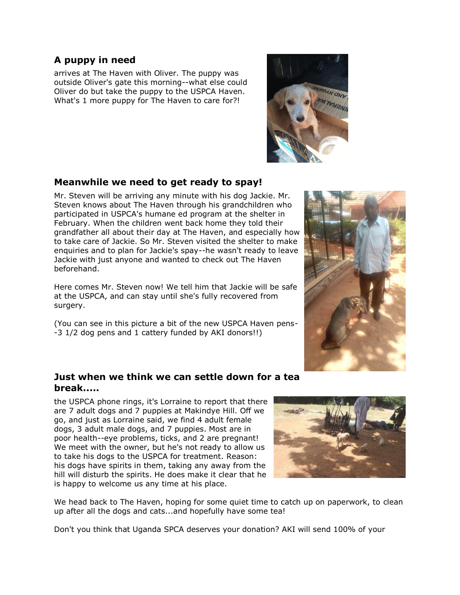### **A puppy in need**

arrives at The Haven with Oliver. The puppy was outside Oliver's gate this morning--what else could Oliver do but take the puppy to the USPCA Haven. What's 1 more puppy for The Haven to care for?!



## **Meanwhile we need to get ready to spay!**

Mr. Steven will be arriving any minute with his dog Jackie. Mr. Steven knows about The Haven through his grandchildren who participated in USPCA's humane ed program at the shelter in February. When the children went back home they told their grandfather all about their day at The Haven, and especially how to take care of Jackie. So Mr. Steven visited the shelter to make enquiries and to plan for Jackie's spay--he wasn't ready to leave Jackie with just anyone and wanted to check out The Haven beforehand.

Here comes Mr. Steven now! We tell him that Jackie will be safe at the USPCA, and can stay until she's fully recovered from surgery.

(You can see in this picture a bit of the new USPCA Haven pens- -3 1/2 dog pens and 1 cattery funded by AKI donors!!)

### **Just when we think we can settle down for a tea break.....**

the USPCA phone rings, it's Lorraine to report that there are 7 adult dogs and 7 puppies at Makindye Hill. Off we go, and just as Lorraine said, we find 4 adult female dogs, 3 adult male dogs, and 7 puppies. Most are in poor health--eye problems, ticks, and 2 are pregnant! We meet with the owner, but he's not ready to allow us to take his dogs to the USPCA for treatment. Reason: his dogs have spirits in them, taking any away from the hill will disturb the spirits. He does make it clear that he is happy to welcome us any time at his place.



We head back to The Haven, hoping for some quiet time to catch up on paperwork, to clean up after all the dogs and cats...and hopefully have some tea!

Don't you think that Uganda SPCA deserves your donation? AKI will send 100% of your